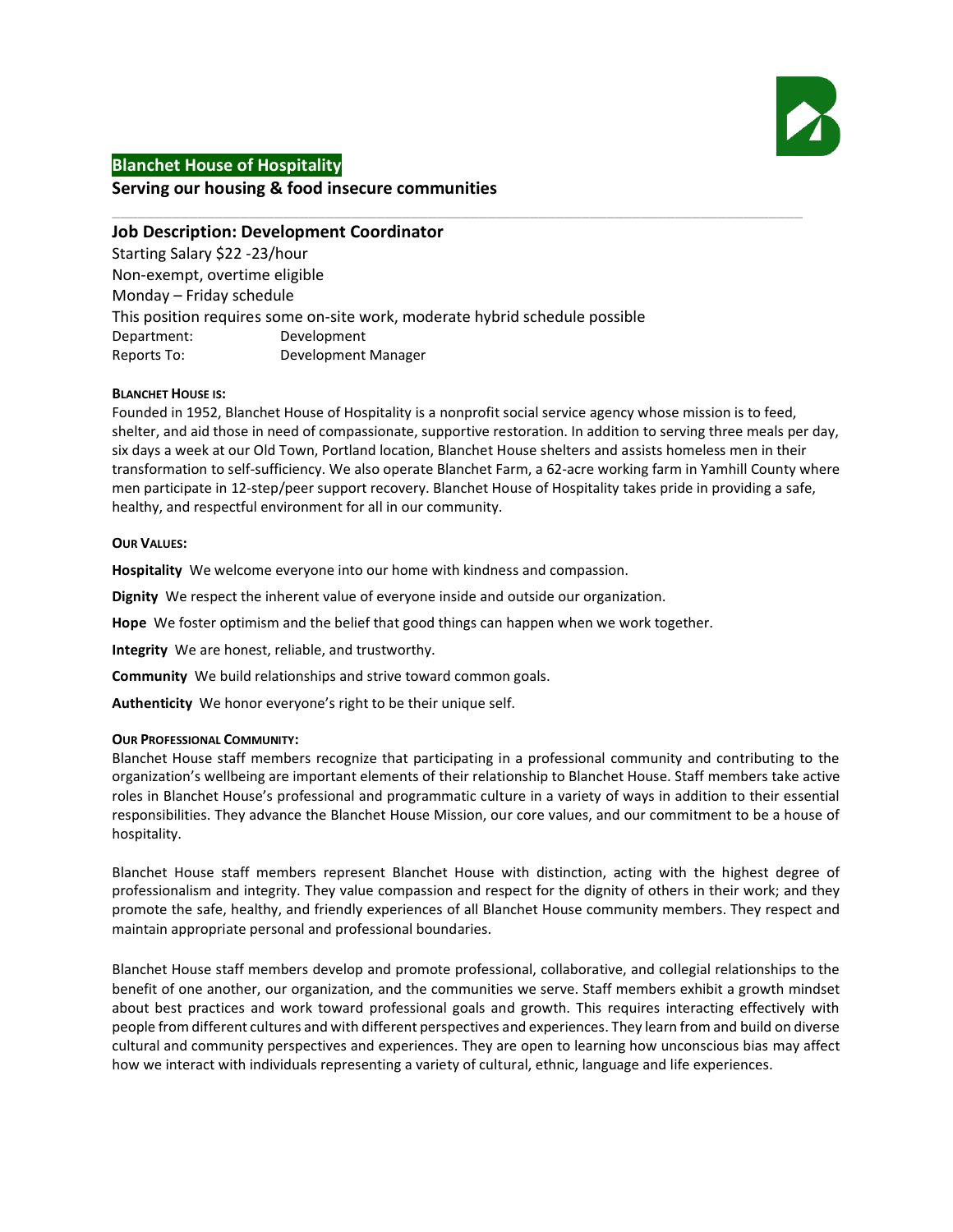

# **Blanchet House of Hospitality**

# **Serving our housing & food insecure communities**

# **Job Description: Development Coordinator**

Starting Salary \$22 -23/hour Non-exempt, overtime eligible Monday – Friday schedule This position requires some on-site work, moderate hybrid schedule possible Department: Development Reports To: Development Manager

#### **BLANCHET HOUSE IS:**

Founded in 1952, Blanchet House of Hospitality is a nonprofit social service agency whose mission is to feed, shelter, and aid those in need of compassionate, supportive restoration. In addition to serving three meals per day, six days a week at our Old Town, Portland location, Blanchet House shelters and assists homeless men in their transformation to self-sufficiency. We also operate Blanchet Farm, a 62-acre working farm in Yamhill County where men participate in 12-step/peer support recovery. Blanchet House of Hospitality takes pride in providing a safe, healthy, and respectful environment for all in our community.

\_\_\_\_\_\_\_\_\_\_\_\_\_\_\_\_\_\_\_\_\_\_\_\_\_\_\_\_\_\_\_\_\_\_\_\_\_\_\_\_\_\_\_\_\_\_\_\_\_\_\_\_\_\_\_\_\_\_\_\_\_\_\_\_\_\_\_\_\_\_\_\_\_\_\_\_\_\_\_\_\_

## **OUR VALUES:**

**Hospitality** We welcome everyone into our home with kindness and compassion.

**Dignity** We respect the inherent value of everyone inside and outside our organization.

**Hope** We foster optimism and the belief that good things can happen when we work together.

**Integrity** We are honest, reliable, and trustworthy.

**Community** We build relationships and strive toward common goals.

**Authenticity** We honor everyone's right to be their unique self.

#### **OUR PROFESSIONAL COMMUNITY:**

Blanchet House staff members recognize that participating in a professional community and contributing to the organization's wellbeing are important elements of their relationship to Blanchet House. Staff members take active roles in Blanchet House's professional and programmatic culture in a variety of ways in addition to their essential responsibilities. They advance the Blanchet House Mission, our core values, and our commitment to be a house of hospitality.

Blanchet House staff members represent Blanchet House with distinction, acting with the highest degree of professionalism and integrity. They value compassion and respect for the dignity of others in their work; and they promote the safe, healthy, and friendly experiences of all Blanchet House community members. They respect and maintain appropriate personal and professional boundaries.

Blanchet House staff members develop and promote professional, collaborative, and collegial relationships to the benefit of one another, our organization, and the communities we serve. Staff members exhibit a growth mindset about best practices and work toward professional goals and growth. This requires interacting effectively with people from different cultures and with different perspectives and experiences. They learn from and build on diverse cultural and community perspectives and experiences. They are open to learning how unconscious bias may affect how we interact with individuals representing a variety of cultural, ethnic, language and life experiences.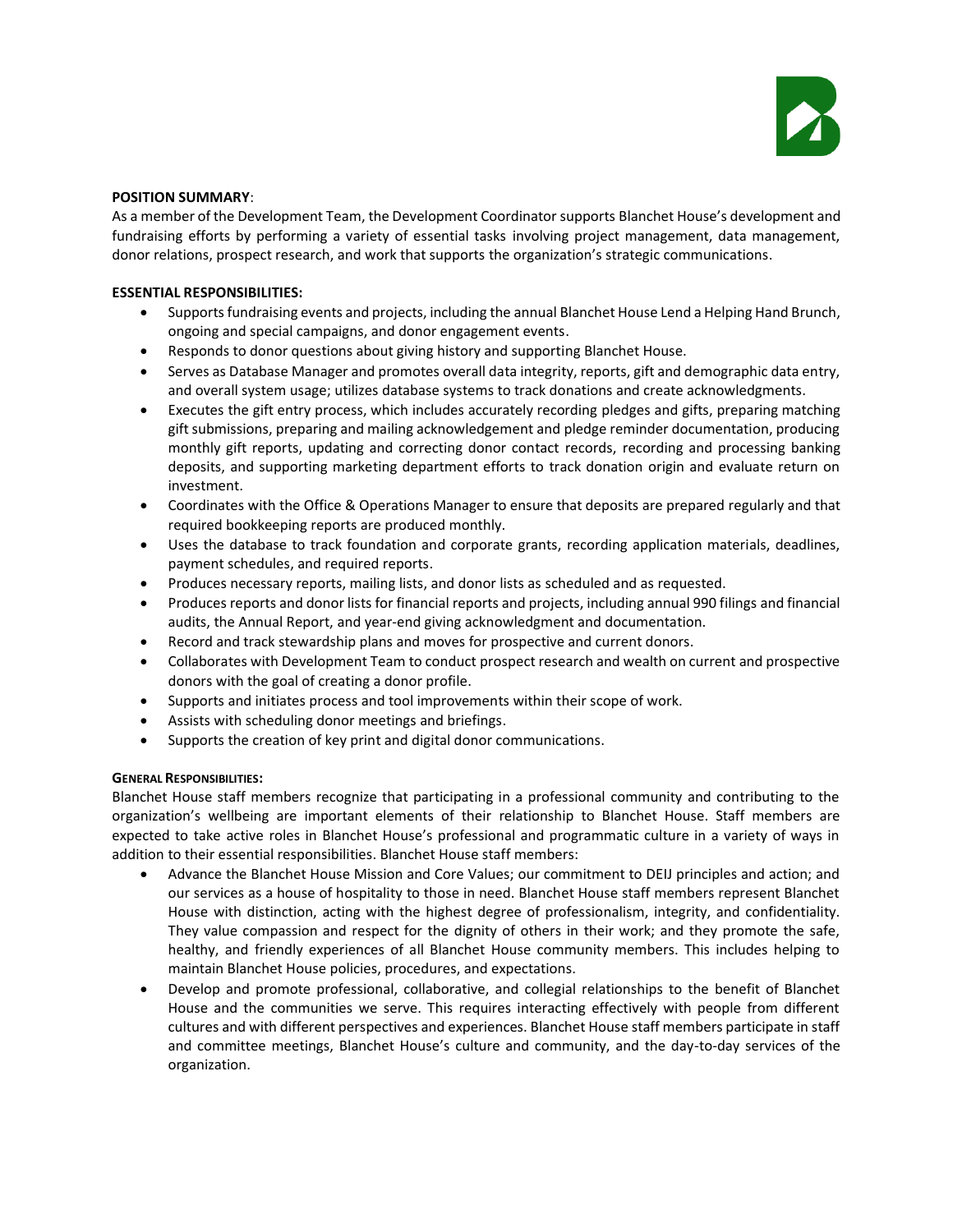

#### **POSITION SUMMARY**:

As a member of the Development Team, the Development Coordinator supports Blanchet House's development and fundraising efforts by performing a variety of essential tasks involving project management, data management, donor relations, prospect research, and work that supports the organization's strategic communications.

## **ESSENTIAL RESPONSIBILITIES:**

- Supportsfundraising events and projects, including the annual Blanchet House Lend a Helping Hand Brunch, ongoing and special campaigns, and donor engagement events.
- Responds to donor questions about giving history and supporting Blanchet House.
- Serves as Database Manager and promotes overall data integrity, reports, gift and demographic data entry, and overall system usage; utilizes database systems to track donations and create acknowledgments.
- Executes the gift entry process, which includes accurately recording pledges and gifts, preparing matching gift submissions, preparing and mailing acknowledgement and pledge reminder documentation, producing monthly gift reports, updating and correcting donor contact records, recording and processing banking deposits, and supporting marketing department efforts to track donation origin and evaluate return on investment.
- Coordinates with the Office & Operations Manager to ensure that deposits are prepared regularly and that required bookkeeping reports are produced monthly.
- Uses the database to track foundation and corporate grants, recording application materials, deadlines, payment schedules, and required reports.
- Produces necessary reports, mailing lists, and donor lists as scheduled and as requested.
- Produces reports and donor lists for financial reports and projects, including annual 990 filings and financial audits, the Annual Report, and year-end giving acknowledgment and documentation.
- Record and track stewardship plans and moves for prospective and current donors.
- Collaborates with Development Team to conduct prospect research and wealth on current and prospective donors with the goal of creating a donor profile.
- Supports and initiates process and tool improvements within their scope of work.
- Assists with scheduling donor meetings and briefings.
- Supports the creation of key print and digital donor communications.

# **GENERAL RESPONSIBILITIES:**

Blanchet House staff members recognize that participating in a professional community and contributing to the organization's wellbeing are important elements of their relationship to Blanchet House. Staff members are expected to take active roles in Blanchet House's professional and programmatic culture in a variety of ways in addition to their essential responsibilities. Blanchet House staff members:

- Advance the Blanchet House Mission and Core Values; our commitment to DEIJ principles and action; and our services as a house of hospitality to those in need. Blanchet House staff members represent Blanchet House with distinction, acting with the highest degree of professionalism, integrity, and confidentiality. They value compassion and respect for the dignity of others in their work; and they promote the safe, healthy, and friendly experiences of all Blanchet House community members. This includes helping to maintain Blanchet House policies, procedures, and expectations.
- Develop and promote professional, collaborative, and collegial relationships to the benefit of Blanchet House and the communities we serve. This requires interacting effectively with people from different cultures and with different perspectives and experiences. Blanchet House staff members participate in staff and committee meetings, Blanchet House's culture and community, and the day-to-day services of the organization.